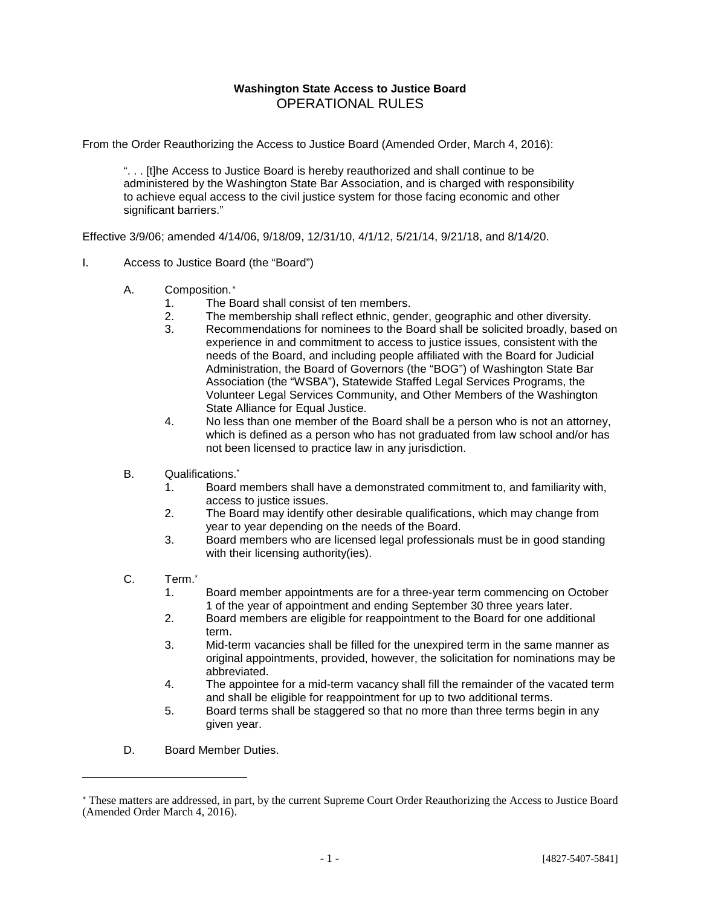#### **Washington State Access to Justice Board** OPERATIONAL RULES

From the Order Reauthorizing the Access to Justice Board (Amended Order, March 4, 2016):

". . . [t]he Access to Justice Board is hereby reauthorized and shall continue to be administered by the Washington State Bar Association, and is charged with responsibility to achieve equal access to the civil justice system for those facing economic and other significant barriers."

Effective 3/9/06; amended 4/14/06, 9/18/09, 12/31/10, 4/1/12, 5/21/14, 9/21/18, and 8/14/20.

#### I. Access to Justice Board (the "Board")

- A. Composition.[∗](#page-0-0)
	- 1. The Board shall consist of ten members.
	- 2. The membership shall reflect ethnic, gender, geographic and other diversity.
	- 3. Recommendations for nominees to the Board shall be solicited broadly, based on experience in and commitment to access to justice issues, consistent with the needs of the Board, and including people affiliated with the Board for Judicial Administration, the Board of Governors (the "BOG") of Washington State Bar Association (the "WSBA"), Statewide Staffed Legal Services Programs, the Volunteer Legal Services Community, and Other Members of the Washington State Alliance for Equal Justice.
	- 4. No less than one member of the Board shall be a person who is not an attorney, which is defined as a person who has not graduated from law school and/or has not been licensed to practice law in any jurisdiction.
- B. Qualifications.\*
	- 1. Board members shall have a demonstrated commitment to, and familiarity with, access to justice issues.
	- 2. The Board may identify other desirable qualifications, which may change from year to year depending on the needs of the Board.
	- 3. Board members who are licensed legal professionals must be in good standing with their licensing authority(ies).
- C. Term.\*

 $\overline{a}$ 

- 1. Board member appointments are for a three-year term commencing on October 1 of the year of appointment and ending September 30 three years later.
- 2. Board members are eligible for reappointment to the Board for one additional term.
- 3. Mid-term vacancies shall be filled for the unexpired term in the same manner as original appointments, provided, however, the solicitation for nominations may be abbreviated.
- 4. The appointee for a mid-term vacancy shall fill the remainder of the vacated term and shall be eligible for reappointment for up to two additional terms.
- 5. Board terms shall be staggered so that no more than three terms begin in any given year.
- D. Board Member Duties.

<span id="page-0-0"></span><sup>∗</sup> These matters are addressed, in part, by the current Supreme Court Order Reauthorizing the Access to Justice Board (Amended Order March 4, 2016).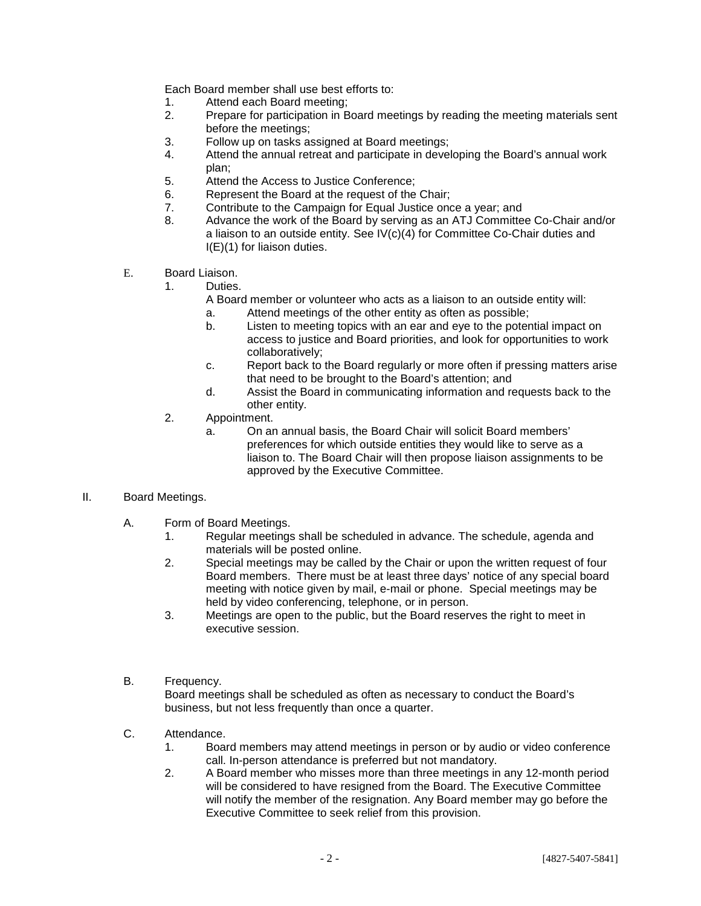Each Board member shall use best efforts to:

- 1. Attend each Board meeting;
- 2. Prepare for participation in Board meetings by reading the meeting materials sent before the meetings;
- 3. Follow up on tasks assigned at Board meetings;
- 4. Attend the annual retreat and participate in developing the Board's annual work plan;
- 5. Attend the Access to Justice Conference;
- 6. Represent the Board at the request of the Chair;
- 7. Contribute to the Campaign for Equal Justice once a year; and
- 8. Advance the work of the Board by serving as an ATJ Committee Co-Chair and/or a liaison to an outside entity. See IV(c)(4) for Committee Co-Chair duties and I(E)(1) for liaison duties.
- E. Board Liaison.
	- 1. Duties.
		- A Board member or volunteer who acts as a liaison to an outside entity will:
			- a. Attend meetings of the other entity as often as possible;
			- b. Listen to meeting topics with an ear and eye to the potential impact on access to justice and Board priorities, and look for opportunities to work collaboratively;
			- c. Report back to the Board regularly or more often if pressing matters arise that need to be brought to the Board's attention; and
			- d. Assist the Board in communicating information and requests back to the other entity.
	- 2. Appointment.
		- a. On an annual basis, the Board Chair will solicit Board members' preferences for which outside entities they would like to serve as a liaison to. The Board Chair will then propose liaison assignments to be approved by the Executive Committee.
- II. Board Meetings.
	- A. Form of Board Meetings.
		- 1. Regular meetings shall be scheduled in advance. The schedule, agenda and materials will be posted online.
		- 2. Special meetings may be called by the Chair or upon the written request of four Board members. There must be at least three days' notice of any special board meeting with notice given by mail, e-mail or phone. Special meetings may be held by video conferencing, telephone, or in person.
		- 3. Meetings are open to the public, but the Board reserves the right to meet in executive session.
	- B. Frequency.

Board meetings shall be scheduled as often as necessary to conduct the Board's business, but not less frequently than once a quarter.

- C. Attendance.
	- 1. Board members may attend meetings in person or by audio or video conference call. In-person attendance is preferred but not mandatory.
	- 2. A Board member who misses more than three meetings in any 12-month period will be considered to have resigned from the Board. The Executive Committee will notify the member of the resignation. Any Board member may go before the Executive Committee to seek relief from this provision.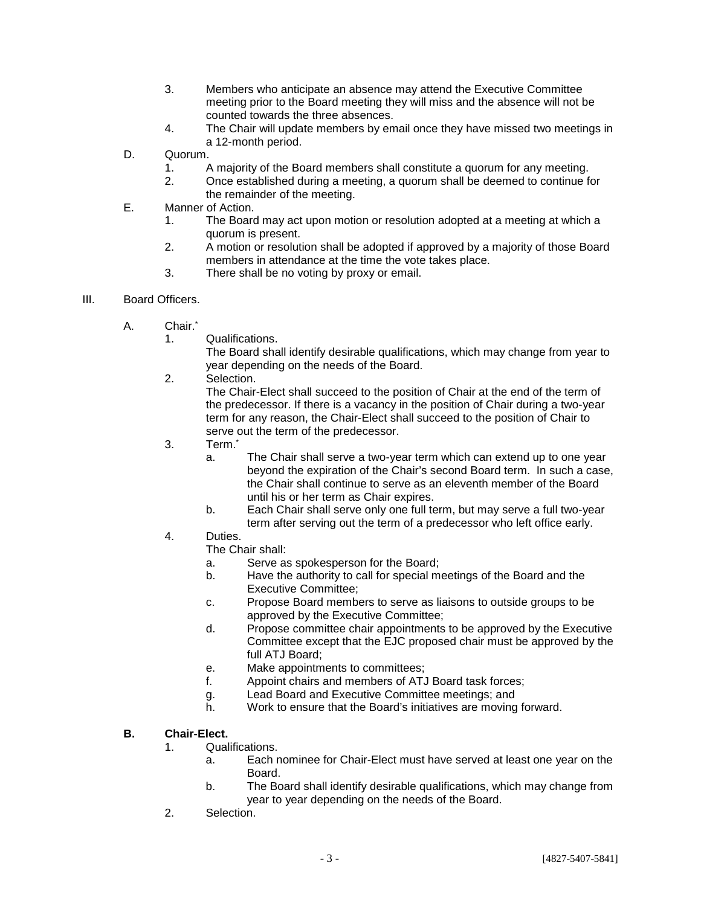- 3. Members who anticipate an absence may attend the Executive Committee meeting prior to the Board meeting they will miss and the absence will not be counted towards the three absences.
- 4. The Chair will update members by email once they have missed two meetings in a 12-month period.
- D. Quorum.
	- 1. A majority of the Board members shall constitute a quorum for any meeting.
	- 2. Once established during a meeting, a quorum shall be deemed to continue for the remainder of the meeting.
- E. Manner of Action.
	- 1. The Board may act upon motion or resolution adopted at a meeting at which a quorum is present.
	- 2. A motion or resolution shall be adopted if approved by a majority of those Board members in attendance at the time the vote takes place.
	- 3. There shall be no voting by proxy or email.
- III. Board Officers.
	- A. Chair.<sup>\*</sup>
		- 1. Qualifications.

The Board shall identify desirable qualifications, which may change from year to year depending on the needs of the Board.

2. Selection.

The Chair-Elect shall succeed to the position of Chair at the end of the term of the predecessor. If there is a vacancy in the position of Chair during a two-year term for any reason, the Chair-Elect shall succeed to the position of Chair to serve out the term of the predecessor.

- 3. Term.\*
	- a. The Chair shall serve a two-year term which can extend up to one year beyond the expiration of the Chair's second Board term. In such a case, the Chair shall continue to serve as an eleventh member of the Board until his or her term as Chair expires.
	- b. Each Chair shall serve only one full term, but may serve a full two-year term after serving out the term of a predecessor who left office early.
- 4. Duties.

The Chair shall:

- a. Serve as spokesperson for the Board;
- b. Have the authority to call for special meetings of the Board and the Executive Committee;
- c. Propose Board members to serve as liaisons to outside groups to be approved by the Executive Committee;
- d. Propose committee chair appointments to be approved by the Executive Committee except that the EJC proposed chair must be approved by the full ATJ Board;
- e. Make appointments to committees;
- f. Appoint chairs and members of ATJ Board task forces;
- g. Lead Board and Executive Committee meetings; and
- h. Work to ensure that the Board's initiatives are moving forward.

#### **B. Chair-Elect.**

- 1. Qualifications.
	- a. Each nominee for Chair-Elect must have served at least one year on the Board.
	- b. The Board shall identify desirable qualifications, which may change from year to year depending on the needs of the Board.
- 2. Selection.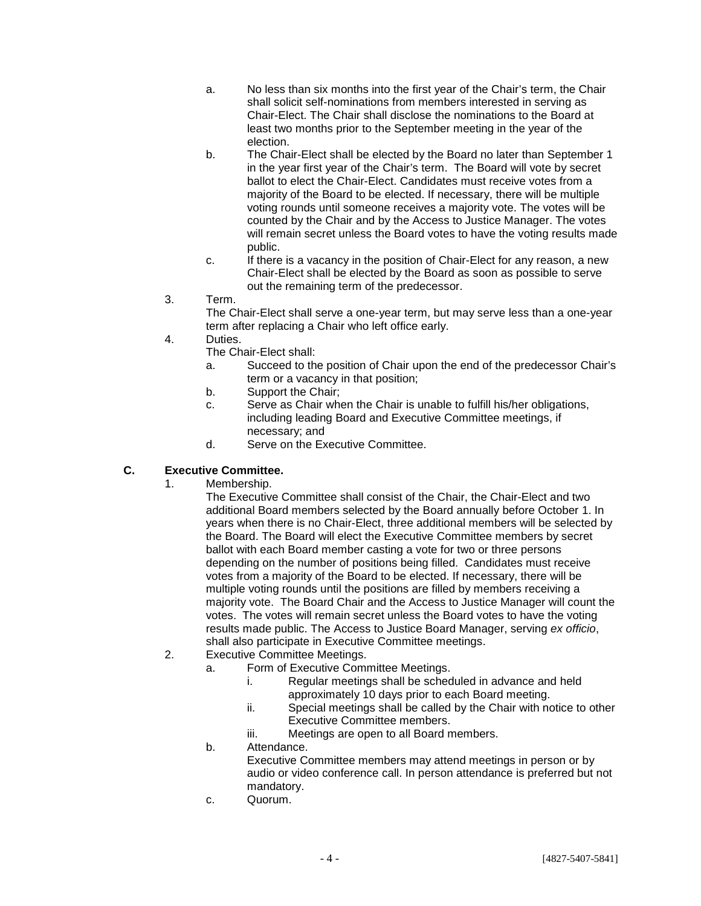- a. No less than six months into the first year of the Chair's term, the Chair shall solicit self-nominations from members interested in serving as Chair-Elect. The Chair shall disclose the nominations to the Board at least two months prior to the September meeting in the year of the election.
- b. The Chair-Elect shall be elected by the Board no later than September 1 in the year first year of the Chair's term. The Board will vote by secret ballot to elect the Chair-Elect. Candidates must receive votes from a majority of the Board to be elected. If necessary, there will be multiple voting rounds until someone receives a majority vote. The votes will be counted by the Chair and by the Access to Justice Manager. The votes will remain secret unless the Board votes to have the voting results made public.
- c. If there is a vacancy in the position of Chair-Elect for any reason, a new Chair-Elect shall be elected by the Board as soon as possible to serve out the remaining term of the predecessor.
- 3. Term.

The Chair-Elect shall serve a one-year term, but may serve less than a one-year term after replacing a Chair who left office early.

- 4. Duties.
	- The Chair-Elect shall:
	- a. Succeed to the position of Chair upon the end of the predecessor Chair's term or a vacancy in that position;
	- b. Support the Chair;
	- c. Serve as Chair when the Chair is unable to fulfill his/her obligations, including leading Board and Executive Committee meetings, if necessary; and
	- d. Serve on the Executive Committee.

#### **C. Executive Committee.**

1. Membership.

The Executive Committee shall consist of the Chair, the Chair-Elect and two additional Board members selected by the Board annually before October 1. In years when there is no Chair-Elect, three additional members will be selected by the Board. The Board will elect the Executive Committee members by secret ballot with each Board member casting a vote for two or three persons depending on the number of positions being filled. Candidates must receive votes from a majority of the Board to be elected. If necessary, there will be multiple voting rounds until the positions are filled by members receiving a majority vote. The Board Chair and the Access to Justice Manager will count the votes. The votes will remain secret unless the Board votes to have the voting results made public. The Access to Justice Board Manager, serving *ex officio*, shall also participate in Executive Committee meetings.

- 2. Executive Committee Meetings.
	- a. Form of Executive Committee Meetings.
		- i. Regular meetings shall be scheduled in advance and held approximately 10 days prior to each Board meeting.
		- ii. Special meetings shall be called by the Chair with notice to other Executive Committee members.
		- iii. Meetings are open to all Board members.
	- b. Attendance.
		- Executive Committee members may attend meetings in person or by audio or video conference call. In person attendance is preferred but not mandatory.
	- c. Quorum.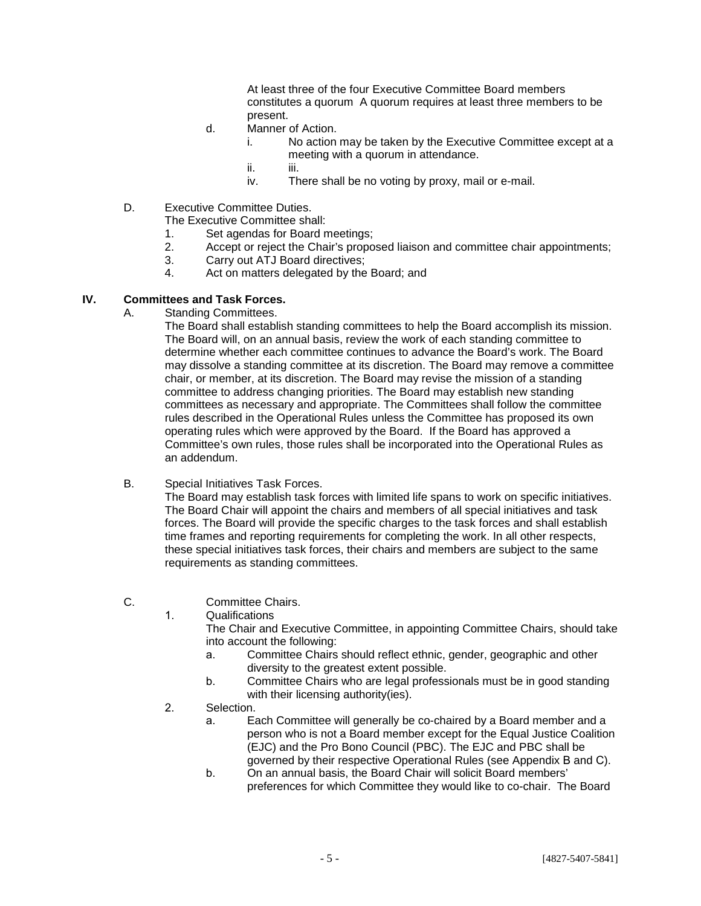At least three of the four Executive Committee Board members constitutes a quorum A quorum requires at least three members to be present.

- d. Manner of Action.
	- i. No action may be taken by the Executive Committee except at a meeting with a quorum in attendance.
	- ii. iii.
	- iv. There shall be no voting by proxy, mail or e-mail.
- D. Executive Committee Duties.
	- The Executive Committee shall:
		- 1. Set agendas for Board meetings;
		- 2. Accept or reject the Chair's proposed liaison and committee chair appointments;
		- 3. Carry out ATJ Board directives;
	- 4. Act on matters delegated by the Board; and

#### **IV. Committees and Task Forces.**

A. Standing Committees.

The Board shall establish standing committees to help the Board accomplish its mission. The Board will, on an annual basis, review the work of each standing committee to determine whether each committee continues to advance the Board's work. The Board may dissolve a standing committee at its discretion. The Board may remove a committee chair, or member, at its discretion. The Board may revise the mission of a standing committee to address changing priorities. The Board may establish new standing committees as necessary and appropriate. The Committees shall follow the committee rules described in the Operational Rules unless the Committee has proposed its own operating rules which were approved by the Board. If the Board has approved a Committee's own rules, those rules shall be incorporated into the Operational Rules as an addendum.

B. Special Initiatives Task Forces.

The Board may establish task forces with limited life spans to work on specific initiatives. The Board Chair will appoint the chairs and members of all special initiatives and task forces. The Board will provide the specific charges to the task forces and shall establish time frames and reporting requirements for completing the work. In all other respects, these special initiatives task forces, their chairs and members are subject to the same requirements as standing committees.

- C. Committee Chairs.
	- 1. Qualifications

The Chair and Executive Committee, in appointing Committee Chairs, should take into account the following:

- a. Committee Chairs should reflect ethnic, gender, geographic and other diversity to the greatest extent possible.
- b. Committee Chairs who are legal professionals must be in good standing with their licensing authority(ies).
- 2. Selection.
	- a. Each Committee will generally be co-chaired by a Board member and a person who is not a Board member except for the Equal Justice Coalition (EJC) and the Pro Bono Council (PBC). The EJC and PBC shall be governed by their respective Operational Rules (see Appendix B and C).
	- b. On an annual basis, the Board Chair will solicit Board members' preferences for which Committee they would like to co-chair. The Board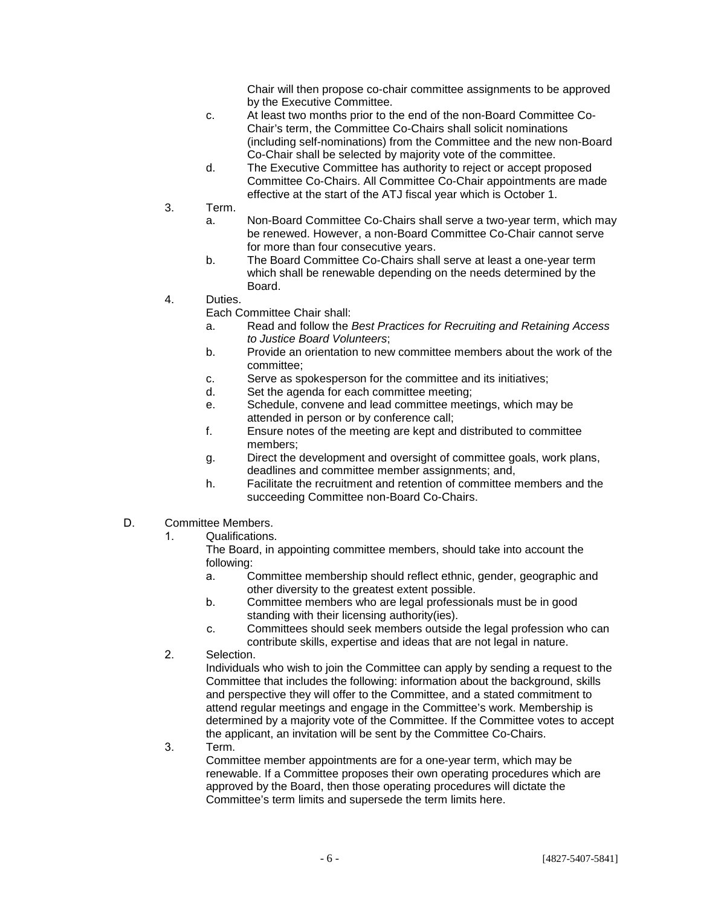Chair will then propose co-chair committee assignments to be approved by the Executive Committee.

- c. At least two months prior to the end of the non-Board Committee Co-Chair's term, the Committee Co-Chairs shall solicit nominations (including self-nominations) from the Committee and the new non-Board Co-Chair shall be selected by majority vote of the committee.
- d. The Executive Committee has authority to reject or accept proposed Committee Co-Chairs. All Committee Co-Chair appointments are made effective at the start of the ATJ fiscal year which is October 1.
- 3. Term.
	- a. Non-Board Committee Co-Chairs shall serve a two-year term, which may be renewed. However, a non-Board Committee Co-Chair cannot serve for more than four consecutive years.
	- b. The Board Committee Co-Chairs shall serve at least a one-year term which shall be renewable depending on the needs determined by the Board.
- 4. Duties.
	- Each Committee Chair shall:
	- a. Read and follow the *Best Practices for Recruiting and Retaining Access to Justice Board Volunteers*;
	- b. Provide an orientation to new committee members about the work of the committee;
	- c. Serve as spokesperson for the committee and its initiatives;
	- d. Set the agenda for each committee meeting;
	- e. Schedule, convene and lead committee meetings, which may be attended in person or by conference call;
	- f. Ensure notes of the meeting are kept and distributed to committee members;
	- g. Direct the development and oversight of committee goals, work plans, deadlines and committee member assignments; and,
	- h. Facilitate the recruitment and retention of committee members and the succeeding Committee non-Board Co-Chairs.
- D. Committee Members.
	- 1. Qualifications.

The Board, in appointing committee members, should take into account the following:

- a. Committee membership should reflect ethnic, gender, geographic and other diversity to the greatest extent possible.
- b. Committee members who are legal professionals must be in good standing with their licensing authority(ies).
- c. Committees should seek members outside the legal profession who can contribute skills, expertise and ideas that are not legal in nature.
- 2. Selection.

Individuals who wish to join the Committee can apply by sending a request to the Committee that includes the following: information about the background, skills and perspective they will offer to the Committee, and a stated commitment to attend regular meetings and engage in the Committee's work. Membership is determined by a majority vote of the Committee. If the Committee votes to accept the applicant, an invitation will be sent by the Committee Co-Chairs.

3. Term.

Committee member appointments are for a one-year term, which may be renewable. If a Committee proposes their own operating procedures which are approved by the Board, then those operating procedures will dictate the Committee's term limits and supersede the term limits here.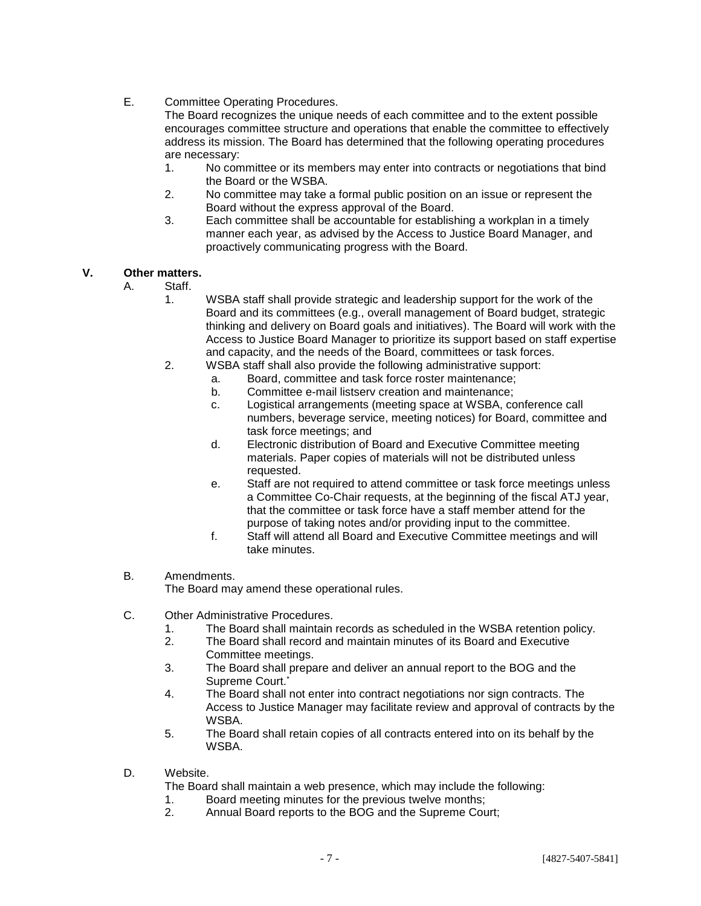E. Committee Operating Procedures.

The Board recognizes the unique needs of each committee and to the extent possible encourages committee structure and operations that enable the committee to effectively address its mission. The Board has determined that the following operating procedures are necessary:

- 1. No committee or its members may enter into contracts or negotiations that bind the Board or the WSBA.
- 2. No committee may take a formal public position on an issue or represent the Board without the express approval of the Board.
- 3. Each committee shall be accountable for establishing a workplan in a timely manner each year, as advised by the Access to Justice Board Manager, and proactively communicating progress with the Board.

#### **V. Other matters.**

- A. Staff.
	- 1. WSBA staff shall provide strategic and leadership support for the work of the Board and its committees (e.g., overall management of Board budget, strategic thinking and delivery on Board goals and initiatives). The Board will work with the Access to Justice Board Manager to prioritize its support based on staff expertise and capacity, and the needs of the Board, committees or task forces.
	- 2. WSBA staff shall also provide the following administrative support:
		- a. Board, committee and task force roster maintenance;
		- b. Committee e-mail listserv creation and maintenance;
		- c. Logistical arrangements (meeting space at WSBA, conference call numbers, beverage service, meeting notices) for Board, committee and task force meetings; and
		- d. Electronic distribution of Board and Executive Committee meeting materials. Paper copies of materials will not be distributed unless requested.
		- e. Staff are not required to attend committee or task force meetings unless a Committee Co-Chair requests, at the beginning of the fiscal ATJ year, that the committee or task force have a staff member attend for the purpose of taking notes and/or providing input to the committee.
		- f. Staff will attend all Board and Executive Committee meetings and will take minutes.
- B. Amendments. The Board may amend these operational rules.
- C. Other Administrative Procedures.
	- 1. The Board shall maintain records as scheduled in the WSBA retention policy.
	- 2. The Board shall record and maintain minutes of its Board and Executive Committee meetings.
	- 3. The Board shall prepare and deliver an annual report to the BOG and the Supreme Court.<sup>\*</sup>
	- 4. The Board shall not enter into contract negotiations nor sign contracts. The Access to Justice Manager may facilitate review and approval of contracts by the WSBA.
	- 5. The Board shall retain copies of all contracts entered into on its behalf by the WSBA.
- D. Website.
	- The Board shall maintain a web presence, which may include the following:
	- 1. Board meeting minutes for the previous twelve months;
	- 2. Annual Board reports to the BOG and the Supreme Court;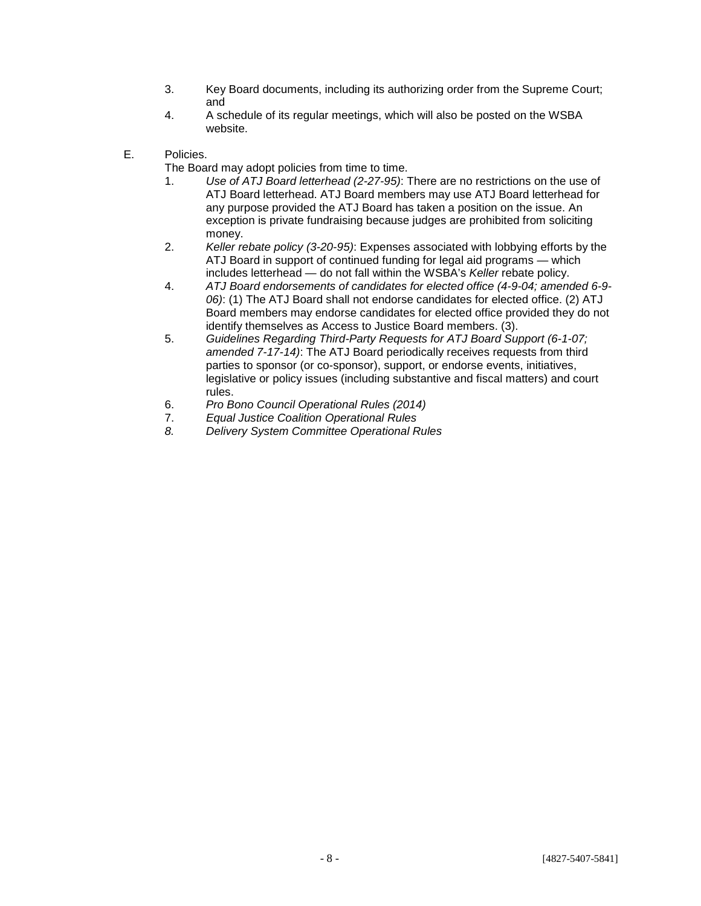- 3. Key Board documents, including its authorizing order from the Supreme Court; and
- 4. A schedule of its regular meetings, which will also be posted on the WSBA website.
- E. Policies.

The Board may adopt policies from time to time.

- 1. *Use of ATJ Board letterhead (2-27-95)*: There are no restrictions on the use of ATJ Board letterhead. ATJ Board members may use ATJ Board letterhead for any purpose provided the ATJ Board has taken a position on the issue. An exception is private fundraising because judges are prohibited from soliciting money.
- 2. *Keller rebate policy (3-20-95)*: Expenses associated with lobbying efforts by the ATJ Board in support of continued funding for legal aid programs — which includes letterhead — do not fall within the WSBA's *Keller* rebate policy.
- 4. *ATJ Board endorsements of candidates for elected office (4-9-04; amended 6-9- 06)*: (1) The ATJ Board shall not endorse candidates for elected office. (2) ATJ Board members may endorse candidates for elected office provided they do not identify themselves as Access to Justice Board members. (3).
- 5. *Guidelines Regarding Third-Party Requests for ATJ Board Support (6-1-07; amended 7-17-14)*: The ATJ Board periodically receives requests from third parties to sponsor (or co-sponsor), support, or endorse events, initiatives, legislative or policy issues (including substantive and fiscal matters) and court rules.
- 6. *Pro Bono Council Operational Rules (2014)*
- 7. *Equal Justice Coalition Operational Rules*
- *8. Delivery System Committee Operational Rules*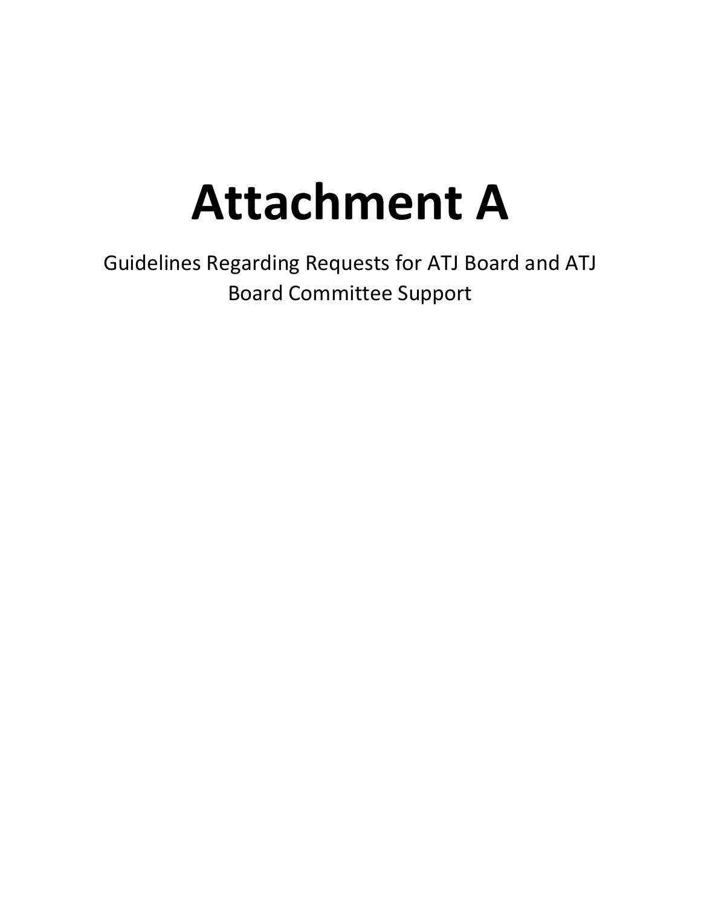# **Attachment A**

Guidelines Regarding Requests for ATJ Board and ATJ Board Committee Support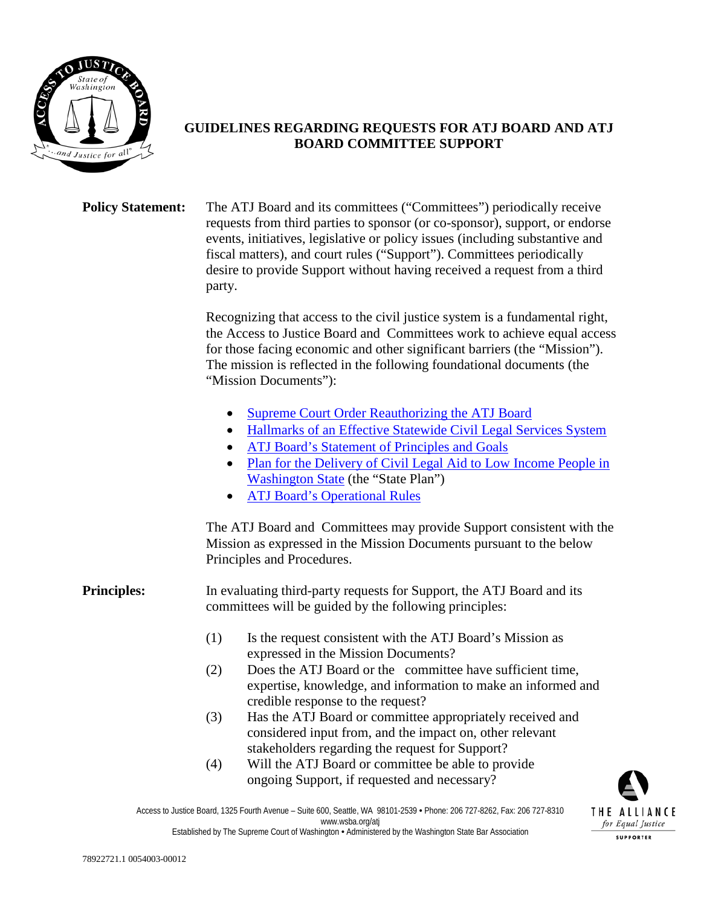

## **GUIDELINES REGARDING REQUESTS FOR ATJ BOARD AND ATJ BOARD COMMITTEE SUPPORT**

**Policy Statement:** The ATJ Board and its committees ("Committees") periodically receive requests from third parties to sponsor (or co-sponsor), support, or endorse events, initiatives, legislative or policy issues (including substantive and fiscal matters), and court rules ("Support"). Committees periodically desire to provide Support without having received a request from a third party.

> Recognizing that access to the civil justice system is a fundamental right, the Access to Justice Board and Committees work to achieve equal access for those facing economic and other significant barriers (the "Mission"). The mission is reflected in the following foundational documents (the "Mission Documents"):

- [Supreme Court Order Reauthorizing the ATJ Board](http://www.wsba.org/%7E/media/Files/Legal%20Community/Committees_Boards_Panels/ATJ%20Board/ATJ%20Board%20Order%202012%2003%2008.ashx)
- [Hallmarks of an Effective Statewide Civil Legal Services System](http://www.wsba.org/%7E/media/Files/Legal%20Community/Committees_Boards_Panels/ATJ%20Board/2014%2003%2028%20Alliance%20HALLMARKS.ashx)
- [ATJ Board's Statement of Principles and Goals](http://www.wsba.org/%7E/media/Files/Legal%20Community/Committees_Boards_Panels/ATJ%20Board/Access%20to%20Justice%20Statement%20of%20Principles%20and%20Goals.ashx)
- Plan for the Delivery of Civil Legal Aid to Low Income People in [Washington](http://www.wsba.org/%7E/media/Files/Legal%20Community/Committees_Boards_Panels/ATJ%20Board/Plan%20for%20the%20Delivery%20of%20Civil%20Legal%20Aid%20to%20Low%20Income%20People%20in%20Washington%20State%20-%20Revised%202006.ashx) State (the "State Plan")
- [ATJ Board's Operational Rules](http://www.wsba.org/%7E/media/Files/Legal%20Community/Committees_Boards_Panels/ATJ%20Board/Access%20to%20Justice%20Board%20Operational%20Rules%202011.ashx)

The ATJ Board and Committees may provide Support consistent with the Mission as expressed in the Mission Documents pursuant to the below Principles and Procedures.

### **Principles:** In evaluating third-party requests for Support, the ATJ Board and its committees will be guided by the following principles:

- (1) Is the request consistent with the ATJ Board's Mission as expressed in the Mission Documents?
- (2) Does the ATJ Board or the committee have sufficient time, expertise, knowledge, and information to make an informed and credible response to the request?
- (3) Has the ATJ Board or committee appropriately received and considered input from, and the impact on, other relevant stakeholders regarding the request for Support?
- (4) Will the ATJ Board or committee be able to provide ongoing Support, if requested and necessary?



Access to Justice Board, 1325 Fourth Avenue – Suite 600, Seattle, WA 98101-2539 • Phone: 206 727-8262, Fax: 206 727-8310 www.wsba.org/atj Established by The Supreme Court of Washington • Administered by the Washington State Bar Association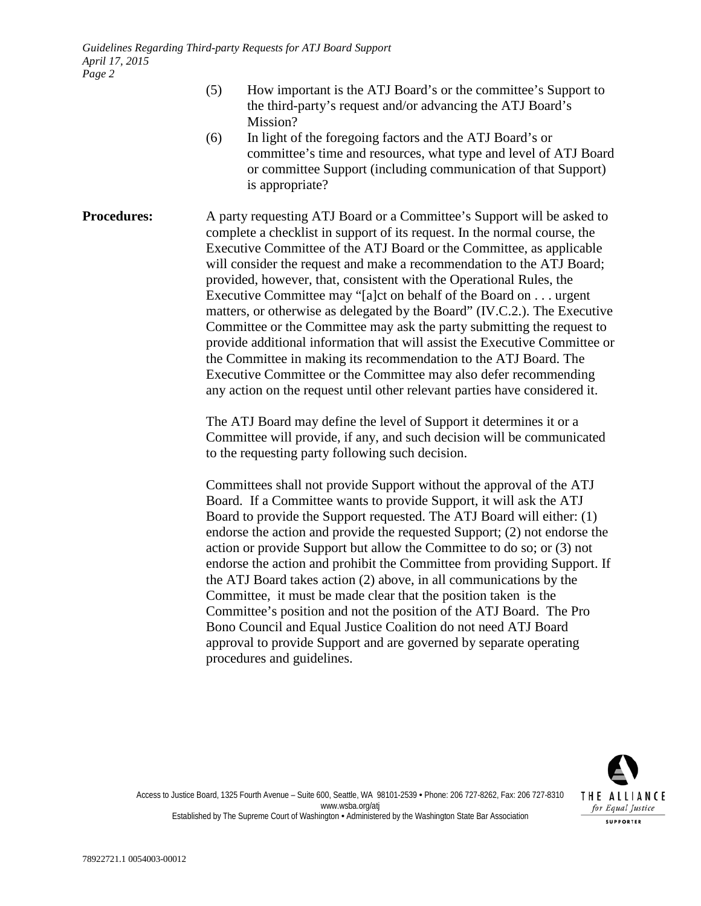- (5) How important is the ATJ Board's or the committee's Support to the third-party's request and/or advancing the ATJ Board's Mission?
- (6) In light of the foregoing factors and the ATJ Board's or committee's time and resources, what type and level of ATJ Board or committee Support (including communication of that Support) is appropriate?

**Procedures:** A party requesting ATJ Board or a Committee's Support will be asked to complete a checklist in support of its request. In the normal course, the Executive Committee of the ATJ Board or the Committee, as applicable will consider the request and make a recommendation to the ATJ Board; provided, however, that, consistent with the Operational Rules, the Executive Committee may "[a]ct on behalf of the Board on . . . urgent matters, or otherwise as delegated by the Board" (IV.C.2.). The Executive Committee or the Committee may ask the party submitting the request to provide additional information that will assist the Executive Committee or the Committee in making its recommendation to the ATJ Board. The Executive Committee or the Committee may also defer recommending any action on the request until other relevant parties have considered it.

> The ATJ Board may define the level of Support it determines it or a Committee will provide, if any, and such decision will be communicated to the requesting party following such decision.

Committees shall not provide Support without the approval of the ATJ Board. If a Committee wants to provide Support, it will ask the ATJ Board to provide the Support requested. The ATJ Board will either: (1) endorse the action and provide the requested Support; (2) not endorse the action or provide Support but allow the Committee to do so; or (3) not endorse the action and prohibit the Committee from providing Support. If the ATJ Board takes action (2) above, in all communications by the Committee, it must be made clear that the position taken is the Committee's position and not the position of the ATJ Board. The Pro Bono Council and Equal Justice Coalition do not need ATJ Board approval to provide Support and are governed by separate operating procedures and guidelines.



Access to Justice Board, 1325 Fourth Avenue – Suite 600, Seattle, WA 98101-2539 • Phone: 206 727-8262, Fax: 206 727-8310 www.wsba.org/atj Established by The Supreme Court of Washington • Administered by the Washington State Bar Association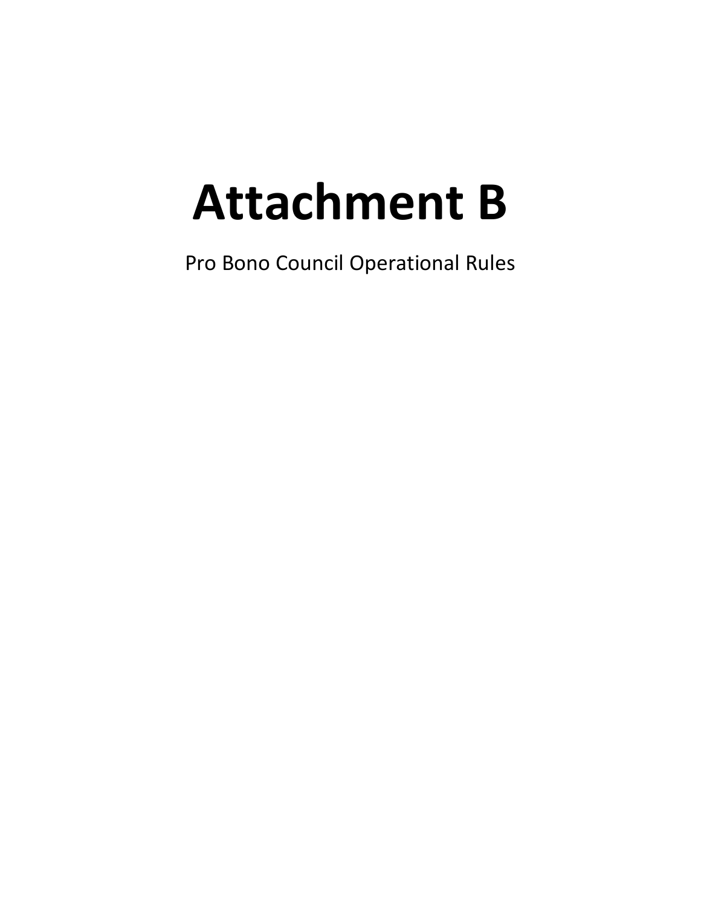# **Attachment B**

Pro Bono Council Operational Rules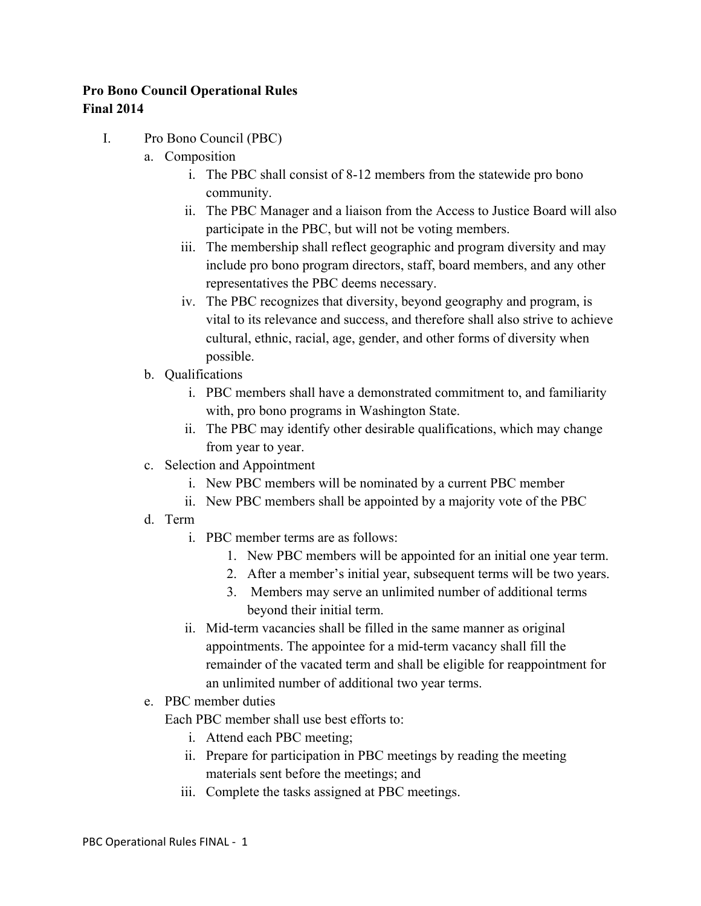## **Pro Bono Council Operational Rules Final 2014**

- I. Pro Bono Council (PBC)
	- a. Composition
		- i. The PBC shall consist of 8-12 members from the statewide pro bono community.
		- ii. The PBC Manager and a liaison from the Access to Justice Board will also participate in the PBC, but will not be voting members.
		- iii. The membership shall reflect geographic and program diversity and may include pro bono program directors, staff, board members, and any other representatives the PBC deems necessary.
		- iv. The PBC recognizes that diversity, beyond geography and program, is vital to its relevance and success, and therefore shall also strive to achieve cultural, ethnic, racial, age, gender, and other forms of diversity when possible.
	- b. Qualifications
		- i. PBC members shall have a demonstrated commitment to, and familiarity with, pro bono programs in Washington State.
		- ii. The PBC may identify other desirable qualifications, which may change from year to year.
	- c. Selection and Appointment
		- i. New PBC members will be nominated by a current PBC member
		- ii. New PBC members shall be appointed by a majority vote of the PBC
	- d. Term
		- i. PBC member terms are as follows:
			- 1. New PBC members will be appointed for an initial one year term.
			- 2. After a member's initial year, subsequent terms will be two years.
			- 3. Members may serve an unlimited number of additional terms beyond their initial term.
		- ii. Mid-term vacancies shall be filled in the same manner as original appointments. The appointee for a mid-term vacancy shall fill the remainder of the vacated term and shall be eligible for reappointment for an unlimited number of additional two year terms.
	- e. PBC member duties

Each PBC member shall use best efforts to:

- i. Attend each PBC meeting;
- ii. Prepare for participation in PBC meetings by reading the meeting materials sent before the meetings; and
- iii. Complete the tasks assigned at PBC meetings.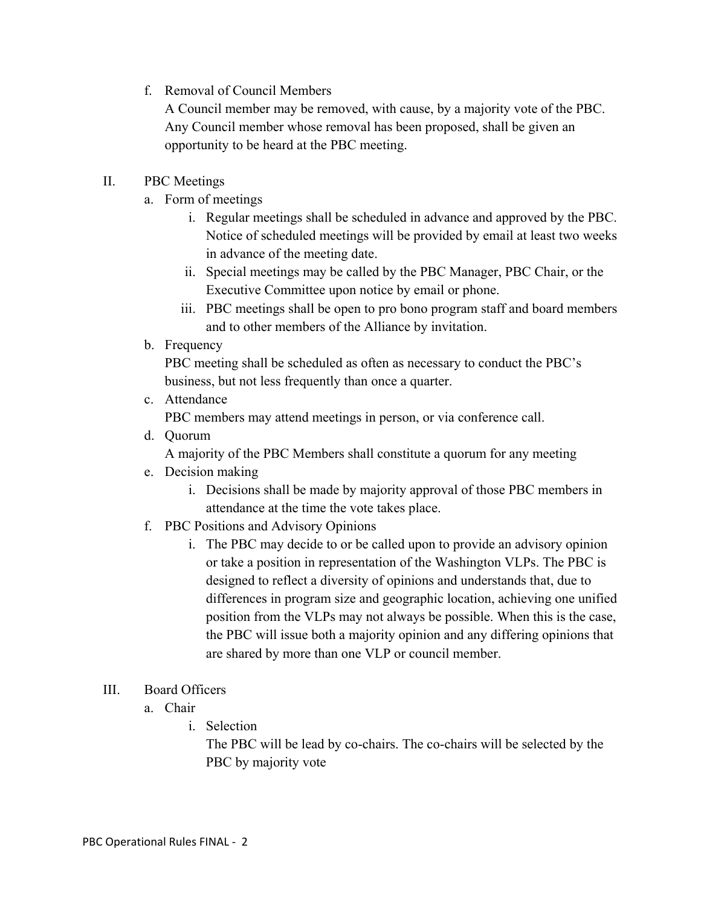f. Removal of Council Members

A Council member may be removed, with cause, by a majority vote of the PBC. Any Council member whose removal has been proposed, shall be given an opportunity to be heard at the PBC meeting.

### II. PBC Meetings

- a. Form of meetings
	- i. Regular meetings shall be scheduled in advance and approved by the PBC. Notice of scheduled meetings will be provided by email at least two weeks in advance of the meeting date.
	- ii. Special meetings may be called by the PBC Manager, PBC Chair, or the Executive Committee upon notice by email or phone.
	- iii. PBC meetings shall be open to pro bono program staff and board members and to other members of the Alliance by invitation.
- b. Frequency

PBC meeting shall be scheduled as often as necessary to conduct the PBC's business, but not less frequently than once a quarter.

c. Attendance

PBC members may attend meetings in person, or via conference call.

d. Quorum

A majority of the PBC Members shall constitute a quorum for any meeting

- e. Decision making
	- i. Decisions shall be made by majority approval of those PBC members in attendance at the time the vote takes place.
- f. PBC Positions and Advisory Opinions
	- i. The PBC may decide to or be called upon to provide an advisory opinion or take a position in representation of the Washington VLPs. The PBC is designed to reflect a diversity of opinions and understands that, due to differences in program size and geographic location, achieving one unified position from the VLPs may not always be possible. When this is the case, the PBC will issue both a majority opinion and any differing opinions that are shared by more than one VLP or council member.

### III. Board Officers

- a. Chair
	- i. Selection

The PBC will be lead by co-chairs. The co-chairs will be selected by the PBC by majority vote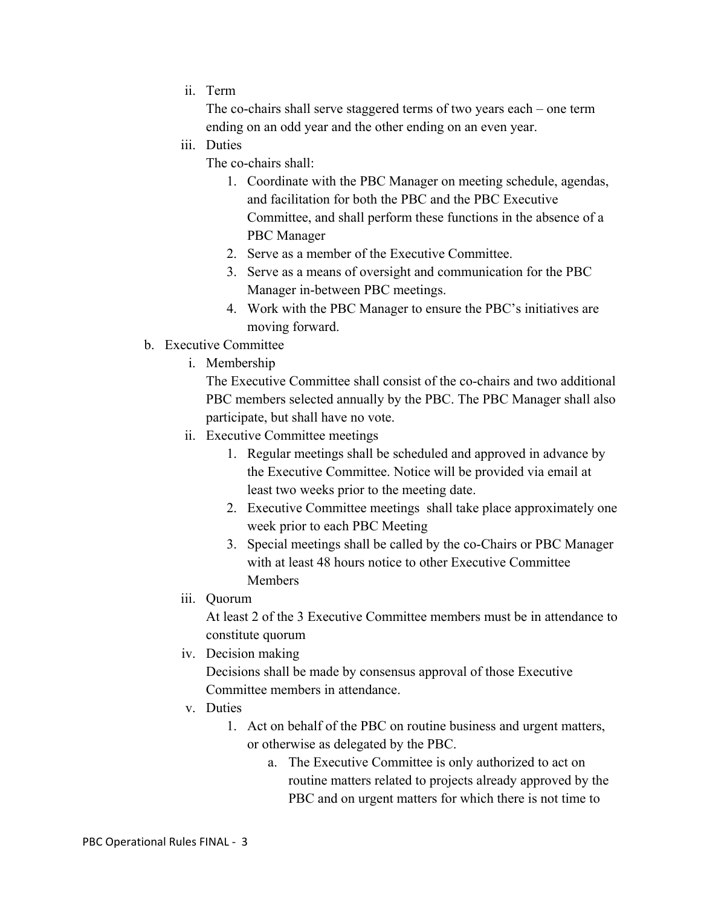ii. Term

The co-chairs shall serve staggered terms of two years each – one term ending on an odd year and the other ending on an even year.

iii. Duties

The co-chairs shall:

- 1. Coordinate with the PBC Manager on meeting schedule, agendas, and facilitation for both the PBC and the PBC Executive Committee, and shall perform these functions in the absence of a PBC Manager
- 2. Serve as a member of the Executive Committee.
- 3. Serve as a means of oversight and communication for the PBC Manager in-between PBC meetings.
- 4. Work with the PBC Manager to ensure the PBC's initiatives are moving forward.
- b. Executive Committee
	- i. Membership

The Executive Committee shall consist of the co-chairs and two additional PBC members selected annually by the PBC. The PBC Manager shall also participate, but shall have no vote.

- ii. Executive Committee meetings
	- 1. Regular meetings shall be scheduled and approved in advance by the Executive Committee. Notice will be provided via email at least two weeks prior to the meeting date.
	- 2. Executive Committee meetings shall take place approximately one week prior to each PBC Meeting
	- 3. Special meetings shall be called by the co-Chairs or PBC Manager with at least 48 hours notice to other Executive Committee **Members**
- iii. Quorum

At least 2 of the 3 Executive Committee members must be in attendance to constitute quorum

iv. Decision making

Decisions shall be made by consensus approval of those Executive Committee members in attendance.

- v. Duties
	- 1. Act on behalf of the PBC on routine business and urgent matters, or otherwise as delegated by the PBC.
		- a. The Executive Committee is only authorized to act on routine matters related to projects already approved by the PBC and on urgent matters for which there is not time to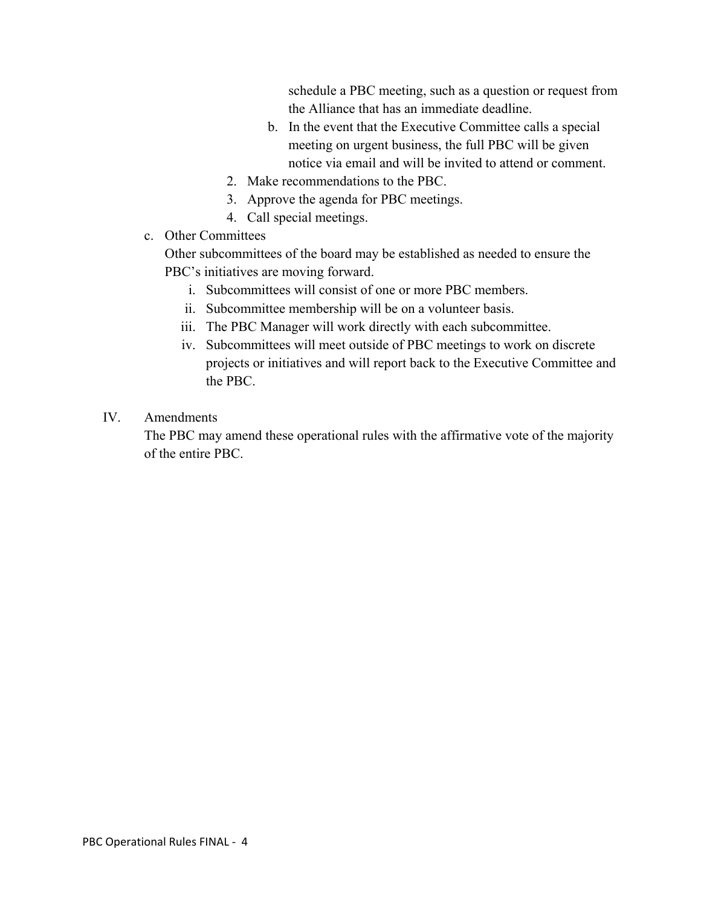schedule a PBC meeting, such as a question or request from the Alliance that has an immediate deadline.

- b. In the event that the Executive Committee calls a special meeting on urgent business, the full PBC will be given notice via email and will be invited to attend or comment.
- 2. Make recommendations to the PBC.
- 3. Approve the agenda for PBC meetings.
- 4. Call special meetings.
- c. Other Committees

Other subcommittees of the board may be established as needed to ensure the PBC's initiatives are moving forward.

- i. Subcommittees will consist of one or more PBC members.
- ii. Subcommittee membership will be on a volunteer basis.
- iii. The PBC Manager will work directly with each subcommittee.
- iv. Subcommittees will meet outside of PBC meetings to work on discrete projects or initiatives and will report back to the Executive Committee and the PBC.

### IV. Amendments

The PBC may amend these operational rules with the affirmative vote of the majority of the entire PBC.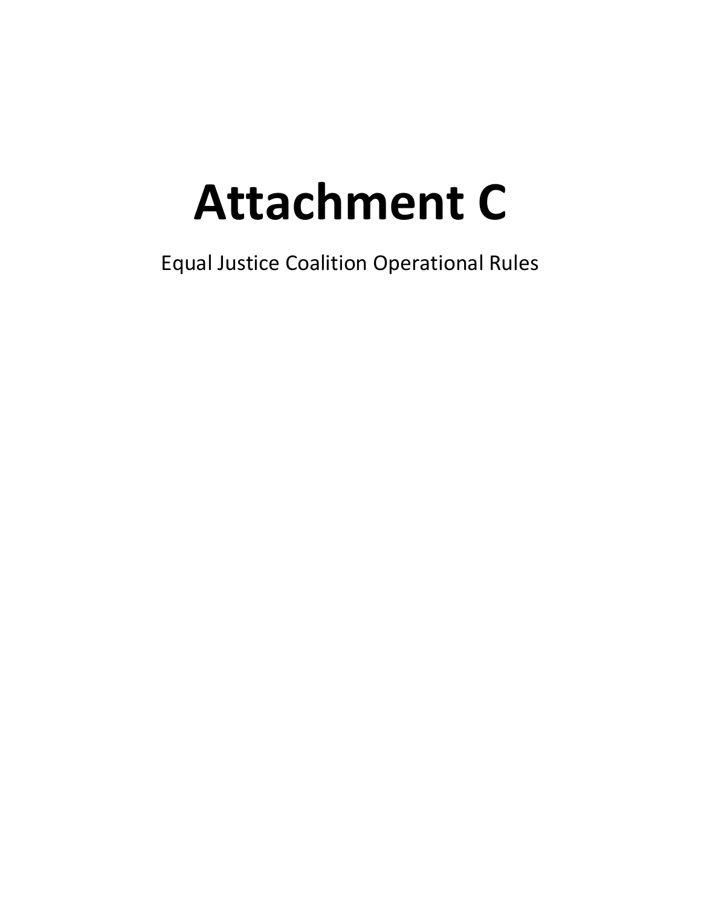# **Attachment C**

Equal Justice Coalition Operational Rules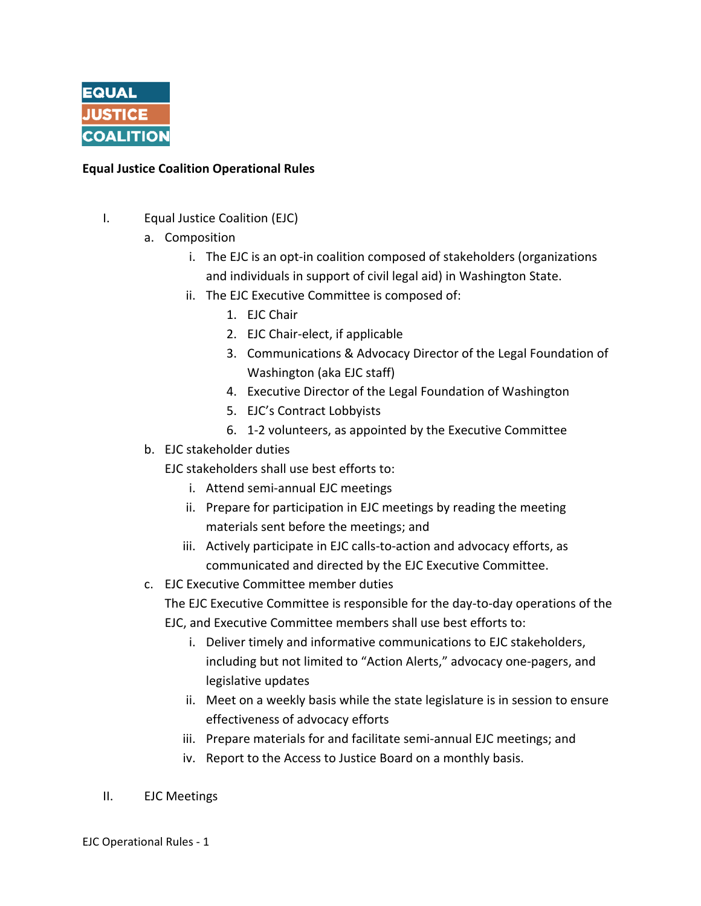

### **Equal Justice Coalition Operational Rules**

- I. Equal Justice Coalition (EJC)
	- a. Composition
		- i. The EJC is an opt-in coalition composed of stakeholders (organizations and individuals in support of civil legal aid) in Washington State.
		- ii. The EJC Executive Committee is composed of:
			- 1. EJC Chair
			- 2. EJC Chair‐elect, if applicable
			- 3. Communications & Advocacy Director of the Legal Foundation of Washington (aka EJC staff)
			- 4. Executive Director of the Legal Foundation of Washington
			- 5. EJC's Contract Lobbyists
			- 6. 1‐2 volunteers, as appointed by the Executive Committee
	- b. EJC stakeholder duties
		- EJC stakeholders shall use best efforts to:
			- i. Attend semi‐annual EJC meetings
			- ii. Prepare for participation in EJC meetings by reading the meeting materials sent before the meetings; and
			- iii. Actively participate in EJC calls‐to‐action and advocacy efforts, as communicated and directed by the EJC Executive Committee.
	- c. EJC Executive Committee member duties

The EJC Executive Committee is responsible for the day‐to‐day operations of the EJC, and Executive Committee members shall use best efforts to:

- i. Deliver timely and informative communications to EJC stakeholders, including but not limited to "Action Alerts," advocacy one‐pagers, and legislative updates
- ii. Meet on a weekly basis while the state legislature is in session to ensure effectiveness of advocacy efforts
- iii. Prepare materials for and facilitate semi-annual EJC meetings; and
- iv. Report to the Access to Justice Board on a monthly basis.
- II. EJC Meetings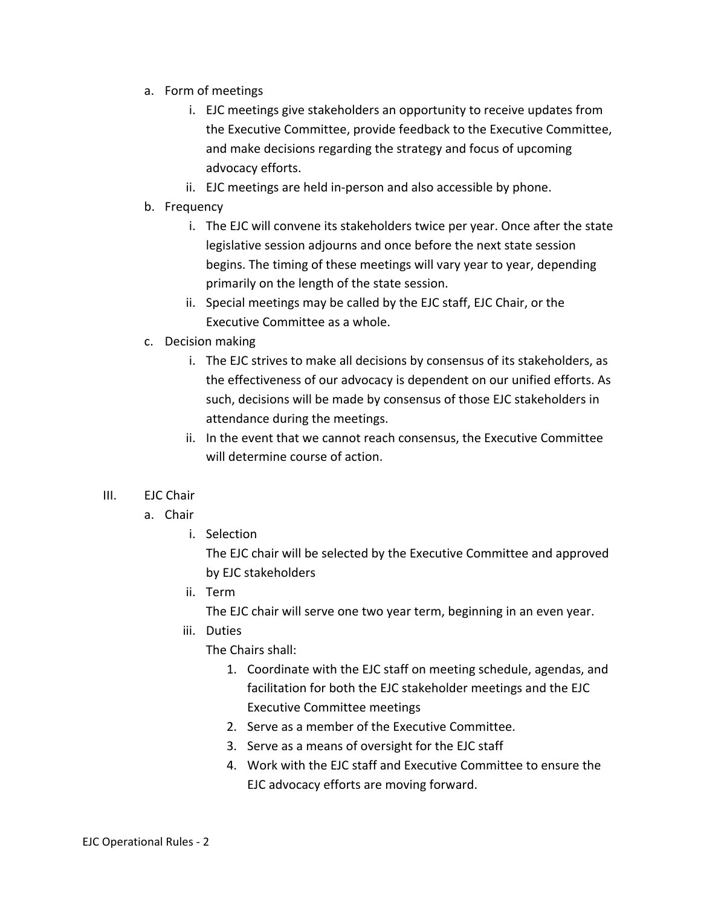- a. Form of meetings
	- i. EJC meetings give stakeholders an opportunity to receive updates from the Executive Committee, provide feedback to the Executive Committee, and make decisions regarding the strategy and focus of upcoming advocacy efforts.
	- ii. EJC meetings are held in‐person and also accessible by phone.
- b. Frequency
	- i. The EJC will convene its stakeholders twice per year. Once after the state legislative session adjourns and once before the next state session begins. The timing of these meetings will vary year to year, depending primarily on the length of the state session.
	- ii. Special meetings may be called by the EJC staff, EJC Chair, or the Executive Committee as a whole.
- c. Decision making
	- i. The EJC strives to make all decisions by consensus of its stakeholders, as the effectiveness of our advocacy is dependent on our unified efforts. As such, decisions will be made by consensus of those EJC stakeholders in attendance during the meetings.
	- ii. In the event that we cannot reach consensus, the Executive Committee will determine course of action.

### III. EJC Chair

- a. Chair
	- i. Selection

The EJC chair will be selected by the Executive Committee and approved by EJC stakeholders

ii. Term

The EJC chair will serve one two year term, beginning in an even year.

iii. Duties

The Chairs shall:

- 1. Coordinate with the EJC staff on meeting schedule, agendas, and facilitation for both the EJC stakeholder meetings and the EJC Executive Committee meetings
- 2. Serve as a member of the Executive Committee.
- 3. Serve as a means of oversight for the EJC staff
- 4. Work with the EJC staff and Executive Committee to ensure the EJC advocacy efforts are moving forward.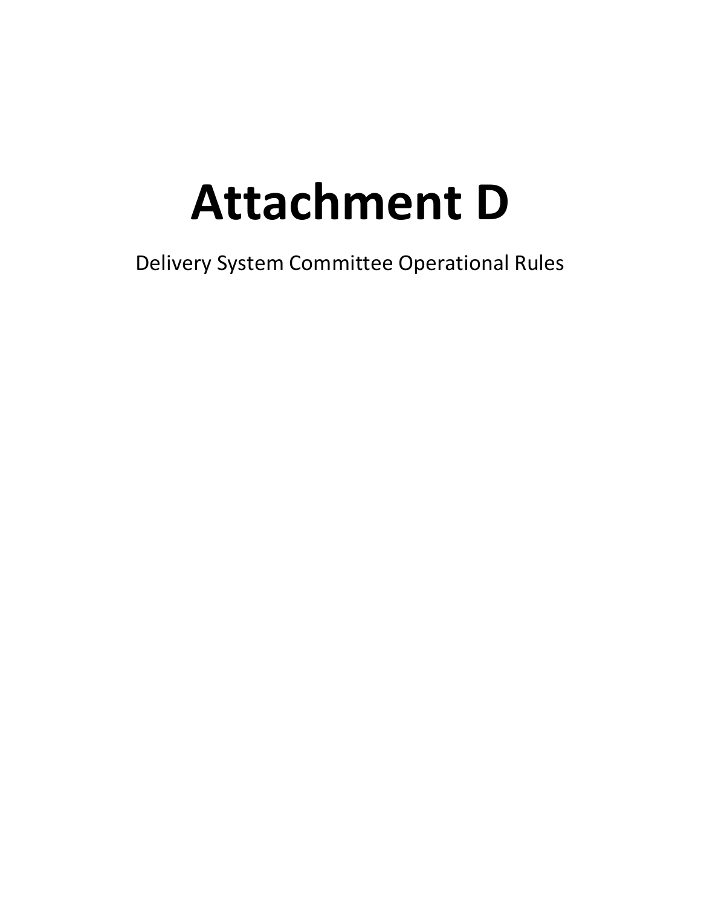## **Attachment D**

Delivery System Committee Operational Rules